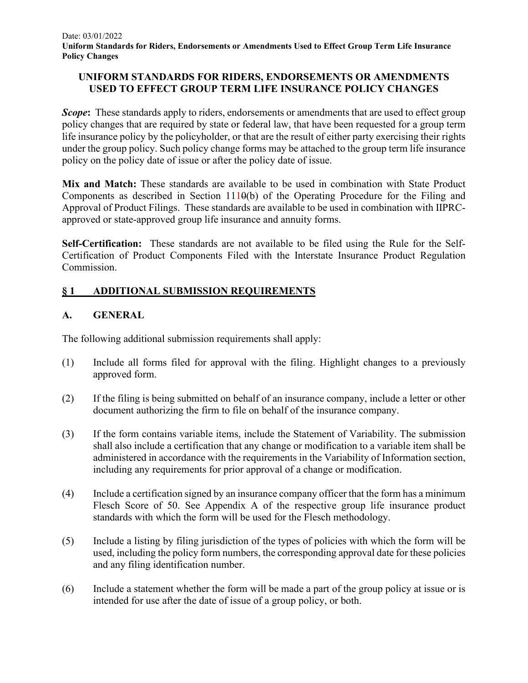### **UNIFORM STANDARDS FOR RIDERS, ENDORSEMENTS OR AMENDMENTS USED TO EFFECT GROUP TERM LIFE INSURANCE POLICY CHANGES**

*Scope*: These standards apply to riders, endorsements or amendments that are used to effect group policy changes that are required by state or federal law, that have been requested for a group term life insurance policy by the policyholder, or that are the result of either party exercising their rights under the group policy. Such policy change forms may be attached to the group term life insurance policy on the policy date of issue or after the policy date of issue.

**Mix and Match:** These standards are available to be used in combination with State Product Components as described in Section  $1110(b)$  of the Operating Procedure for the Filing and Approval of Product Filings. These standards are available to be used in combination with IIPRCapproved or state-approved group life insurance and annuity forms.

**Self-Certification:** These standards are not available to be filed using the Rule for the Self-Certification of Product Components Filed with the Interstate Insurance Product Regulation Commission.

# **§ 1 ADDITIONAL SUBMISSION REQUIREMENTS**

## **A. GENERAL**

The following additional submission requirements shall apply:

- (1) Include all forms filed for approval with the filing. Highlight changes to a previously approved form.
- (2) If the filing is being submitted on behalf of an insurance company, include a letter or other document authorizing the firm to file on behalf of the insurance company.
- (3) If the form contains variable items, include the Statement of Variability. The submission shall also include a certification that any change or modification to a variable item shall be administered in accordance with the requirements in the Variability of Information section, including any requirements for prior approval of a change or modification.
- (4) Include a certification signed by an insurance company officer that the form has a minimum Flesch Score of 50. See Appendix A of the respective group life insurance product standards with which the form will be used for the Flesch methodology.
- (5) Include a listing by filing jurisdiction of the types of policies with which the form will be used, including the policy form numbers, the corresponding approval date for these policies and any filing identification number.
- (6) Include a statement whether the form will be made a part of the group policy at issue or is intended for use after the date of issue of a group policy, or both.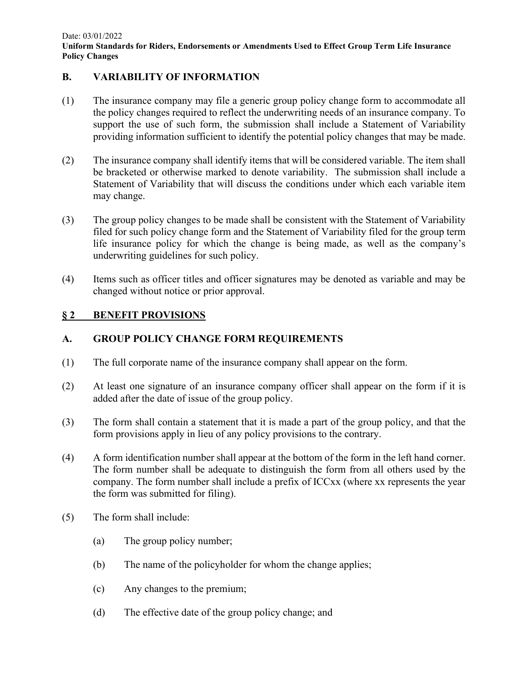#### **B. VARIABILITY OF INFORMATION**

- (1) The insurance company may file a generic group policy change form to accommodate all the policy changes required to reflect the underwriting needs of an insurance company. To support the use of such form, the submission shall include a Statement of Variability providing information sufficient to identify the potential policy changes that may be made.
- (2) The insurance company shall identify items that will be considered variable. The item shall be bracketed or otherwise marked to denote variability. The submission shall include a Statement of Variability that will discuss the conditions under which each variable item may change.
- (3) The group policy changes to be made shall be consistent with the Statement of Variability filed for such policy change form and the Statement of Variability filed for the group term life insurance policy for which the change is being made, as well as the company's underwriting guidelines for such policy.
- (4) Items such as officer titles and officer signatures may be denoted as variable and may be changed without notice or prior approval.

#### **§ 2 BENEFIT PROVISIONS**

### **A. GROUP POLICY CHANGE FORM REQUIREMENTS**

- (1) The full corporate name of the insurance company shall appear on the form.
- (2) At least one signature of an insurance company officer shall appear on the form if it is added after the date of issue of the group policy.
- (3) The form shall contain a statement that it is made a part of the group policy, and that the form provisions apply in lieu of any policy provisions to the contrary.
- (4) A form identification number shall appear at the bottom of the form in the left hand corner. The form number shall be adequate to distinguish the form from all others used by the company. The form number shall include a prefix of ICCxx (where xx represents the year the form was submitted for filing).
- (5) The form shall include:
	- (a) The group policy number;
	- (b) The name of the policyholder for whom the change applies;
	- (c) Any changes to the premium;
	- (d) The effective date of the group policy change; and